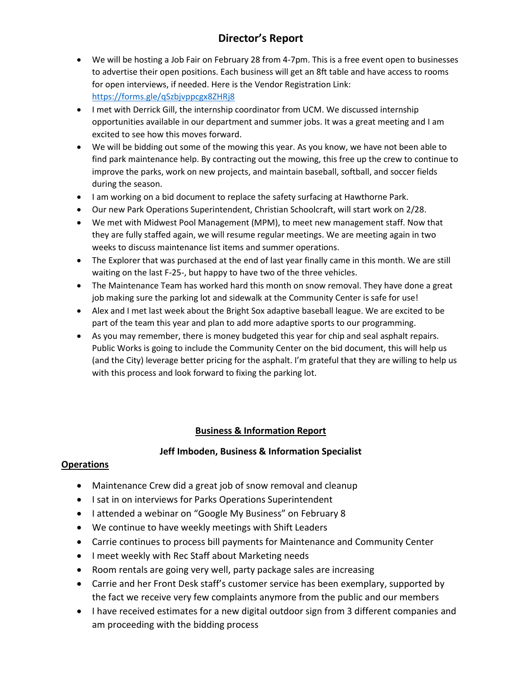## **Director's Report**

- We will be hosting a Job Fair on February 28 from 4-7pm. This is a free event open to businesses to advertise their open positions. Each business will get an 8ft table and have access to rooms for open interviews, if needed. Here is the Vendor Registration Link: <https://forms.gle/qSzbjvppcgx8ZHRj8>
- I met with Derrick Gill, the internship coordinator from UCM. We discussed internship opportunities available in our department and summer jobs. It was a great meeting and I am excited to see how this moves forward.
- We will be bidding out some of the mowing this year. As you know, we have not been able to find park maintenance help. By contracting out the mowing, this free up the crew to continue to improve the parks, work on new projects, and maintain baseball, softball, and soccer fields during the season.
- I am working on a bid document to replace the safety surfacing at Hawthorne Park.
- Our new Park Operations Superintendent, Christian Schoolcraft, will start work on 2/28.
- We met with Midwest Pool Management (MPM), to meet new management staff. Now that they are fully staffed again, we will resume regular meetings. We are meeting again in two weeks to discuss maintenance list items and summer operations.
- The Explorer that was purchased at the end of last year finally came in this month. We are still waiting on the last F-25-, but happy to have two of the three vehicles.
- The Maintenance Team has worked hard this month on snow removal. They have done a great job making sure the parking lot and sidewalk at the Community Center is safe for use!
- Alex and I met last week about the Bright Sox adaptive baseball league. We are excited to be part of the team this year and plan to add more adaptive sports to our programming.
- As you may remember, there is money budgeted this year for chip and seal asphalt repairs. Public Works is going to include the Community Center on the bid document, this will help us (and the City) leverage better pricing for the asphalt. I'm grateful that they are willing to help us with this process and look forward to fixing the parking lot.

### **Business & Information Report**

### **Jeff Imboden, Business & Information Specialist**

### **Operations**

- Maintenance Crew did a great job of snow removal and cleanup
- I sat in on interviews for Parks Operations Superintendent
- I attended a webinar on "Google My Business" on February 8
- We continue to have weekly meetings with Shift Leaders
- Carrie continues to process bill payments for Maintenance and Community Center
- I meet weekly with Rec Staff about Marketing needs
- Room rentals are going very well, party package sales are increasing
- Carrie and her Front Desk staff's customer service has been exemplary, supported by the fact we receive very few complaints anymore from the public and our members
- I have received estimates for a new digital outdoor sign from 3 different companies and am proceeding with the bidding process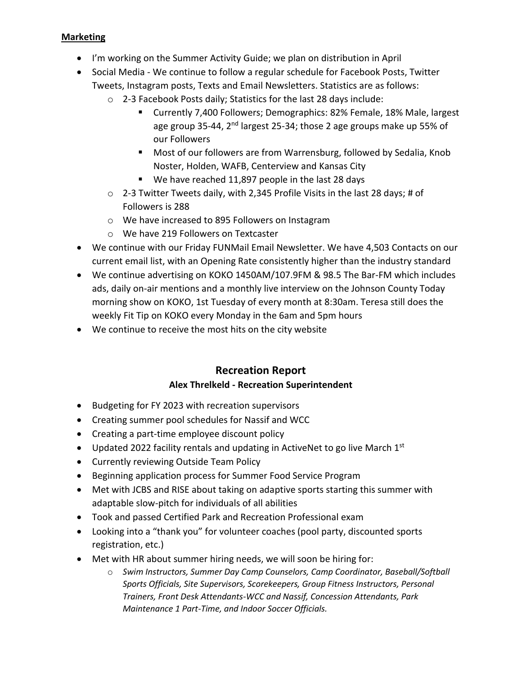### **Marketing**

- I'm working on the Summer Activity Guide; we plan on distribution in April
- Social Media We continue to follow a regular schedule for Facebook Posts, Twitter Tweets, Instagram posts, Texts and Email Newsletters. Statistics are as follows:
	- o 2-3 Facebook Posts daily; Statistics for the last 28 days include:
		- Currently 7,400 Followers; Demographics: 82% Female, 18% Male, largest age group 35-44, 2<sup>nd</sup> largest 25-34; those 2 age groups make up 55% of our Followers
		- Most of our followers are from Warrensburg, followed by Sedalia, Knob Noster, Holden, WAFB, Centerview and Kansas City
		- We have reached 11,897 people in the last 28 days
	- $\circ$  2-3 Twitter Tweets daily, with 2,345 Profile Visits in the last 28 days; # of Followers is 288
	- o We have increased to 895 Followers on Instagram
	- o We have 219 Followers on Textcaster
- We continue with our Friday FUNMail Email Newsletter. We have 4,503 Contacts on our current email list, with an Opening Rate consistently higher than the industry standard
- We continue advertising on KOKO 1450AM/107.9FM & 98.5 The Bar-FM which includes ads, daily on-air mentions and a monthly live interview on the Johnson County Today morning show on KOKO, 1st Tuesday of every month at 8:30am. Teresa still does the weekly Fit Tip on KOKO every Monday in the 6am and 5pm hours
- We continue to receive the most hits on the city website

# **Recreation Report**

### **Alex Threlkeld - Recreation Superintendent**

- Budgeting for FY 2023 with recreation supervisors
- Creating summer pool schedules for Nassif and WCC
- Creating a part-time employee discount policy
- Updated 2022 facility rentals and updating in ActiveNet to go live March  $1<sup>st</sup>$
- Currently reviewing Outside Team Policy
- Beginning application process for Summer Food Service Program
- Met with JCBS and RISE about taking on adaptive sports starting this summer with adaptable slow-pitch for individuals of all abilities
- Took and passed Certified Park and Recreation Professional exam
- Looking into a "thank you" for volunteer coaches (pool party, discounted sports registration, etc.)
- Met with HR about summer hiring needs, we will soon be hiring for:
	- o *Swim Instructors, Summer Day Camp Counselors, Camp Coordinator, Baseball/Softball Sports Officials, Site Supervisors, Scorekeepers, Group Fitness Instructors, Personal Trainers, Front Desk Attendants-WCC and Nassif, Concession Attendants, Park Maintenance 1 Part-Time, and Indoor Soccer Officials.*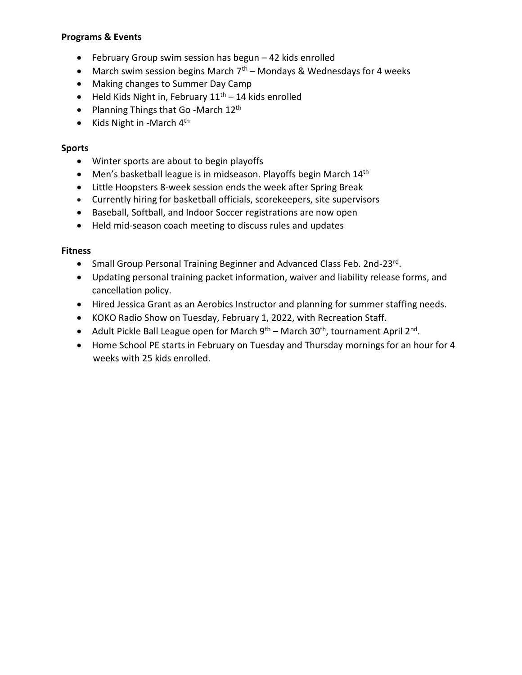### **Programs & Events**

- February Group swim session has begun 42 kids enrolled
- March swim session begins March  $7<sup>th</sup>$  Mondays & Wednesdays for 4 weeks
- Making changes to Summer Day Camp
- Held Kids Night in, February  $11<sup>th</sup> 14$  kids enrolled
- Planning Things that Go -March  $12<sup>th</sup>$
- Kids Night in -March  $4<sup>th</sup>$

### **Sports**

- Winter sports are about to begin playoffs
- Men's basketball league is in midseason. Playoffs begin March  $14<sup>th</sup>$
- Little Hoopsters 8-week session ends the week after Spring Break
- Currently hiring for basketball officials, scorekeepers, site supervisors
- Baseball, Softball, and Indoor Soccer registrations are now open
- Held mid-season coach meeting to discuss rules and updates

### **Fitness**

- Small Group Personal Training Beginner and Advanced Class Feb. 2nd-23rd.
- Updating personal training packet information, waiver and liability release forms, and cancellation policy.
- Hired Jessica Grant as an Aerobics Instructor and planning for summer staffing needs.
- KOKO Radio Show on Tuesday, February 1, 2022, with Recreation Staff.
- Adult Pickle Ball League open for March  $9<sup>th</sup>$  March 30<sup>th</sup>, tournament April 2<sup>nd</sup>.
- Home School PE starts in February on Tuesday and Thursday mornings for an hour for 4 weeks with 25 kids enrolled.